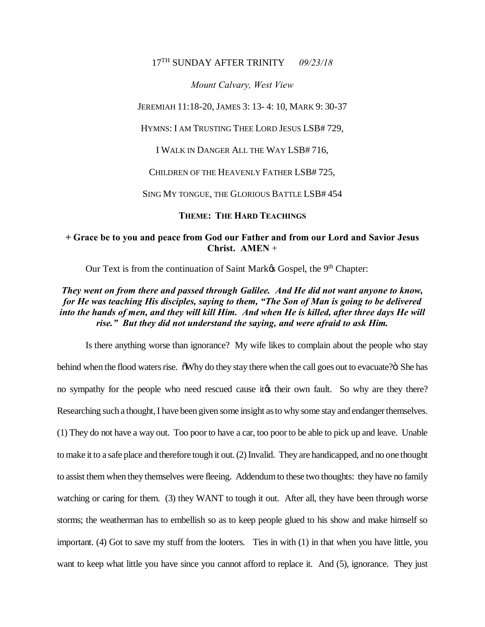## 17TH SUNDAY AFTER TRINITY *09/23/18*

*Mount Calvary, West View*

JEREMIAH 11:18-20, JAMES 3: 13- 4: 10, MARK 9: 30-37

HYMNS: I AM TRUSTING THEE LORD JESUS LSB# 729,

I WALK IN DANGER ALL THE WAY LSB# 716,

CHILDREN OF THE HEAVENLY FATHER LSB# 725,

SING MY TONGUE, THE GLORIOUS BATTLE LSB# 454

**THEME: THE HARD TEACHINGS**

## **+ Grace be to you and peace from God our Father and from our Lord and Savior Jesus Christ. AMEN** +

Our Text is from the continuation of Saint Mark $\alpha$  Gospel, the 9<sup>th</sup> Chapter:

## *They went on from there and passed through Galilee. And He did not want anyone to know, for He was teaching His disciples, saying to them, "The Son of Man is going to be delivered into the hands of men, and they will kill Him. And when He is killed, after three days He will rise." But they did not understand the saying, and were afraid to ask Him.*

Is there anything worse than ignorance? My wife likes to complain about the people who stay behind when the flood waters rise.  $\delta W$ hy do they stay there when the call goes out to evacuate? $\delta$  She has no sympathy for the people who need rescued cause it to their own fault. So why are they there? Researching such a thought, I have been given some insight as to why some stay and endanger themselves. (1) They do not have a way out. Too poor to have a car, too poor to be able to pick up and leave. Unable to make it to a safe place and therefore tough it out. (2) Invalid. They are handicapped, and no one thought to assist them when they themselves were fleeing. Addendum to these two thoughts: they have no family watching or caring for them. (3) they WANT to tough it out. After all, they have been through worse storms; the weatherman has to embellish so as to keep people glued to his show and make himself so important. (4) Got to save my stuff from the looters. Ties in with (1) in that when you have little, you want to keep what little you have since you cannot afford to replace it. And (5), ignorance. They just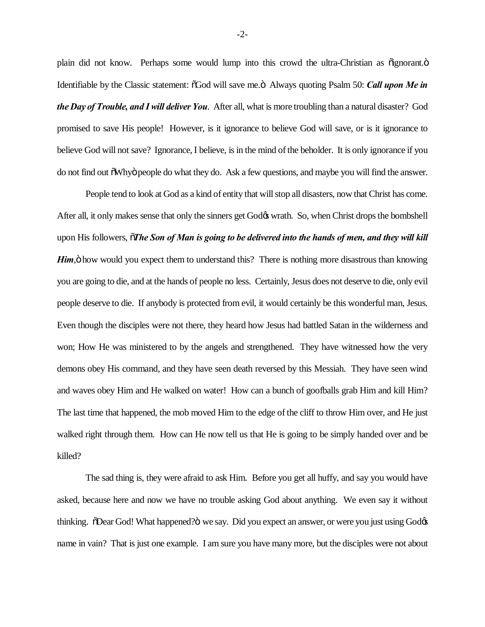plain did not know. Perhaps some would lump into this crowd the ultra-Christian as  $\ddot{o}$  ignorant. $\ddot{o}$ Identifiable by the Classic statement:  $\delta$ God will save me. $\delta$  Always quoting Psalm 50: *Call upon Me in the Day of Trouble, and I will deliver You*. After all, what is more troubling than a natural disaster? God promised to save His people! However, is it ignorance to believe God will save, or is it ignorance to believe God will not save? Ignorance, I believe, is in the mind of the beholder. It is only ignorance if you do not find out  $\delta$ Whyö people do what they do. Ask a few questions, and maybe you will find the answer.

People tend to look at God as a kind of entity that will stop all disasters, now that Christ has come. After all, it only makes sense that only the sinners get God $\alpha$  wrath. So, when Christ drops the bombshell upon His followers, "*The Son of Man is going to be delivered into the hands of men, and they will kill Him*,  $\ddot{\text{o}}$  how would you expect them to understand this? There is nothing more disastrous than knowing you are going to die, and at the hands of people no less. Certainly, Jesus does not deserve to die, only evil people deserve to die. If anybody is protected from evil, it would certainly be this wonderful man, Jesus. Even though the disciples were not there, they heard how Jesus had battled Satan in the wilderness and won; How He was ministered to by the angels and strengthened. They have witnessed how the very demons obey His command, and they have seen death reversed by this Messiah. They have seen wind and waves obey Him and He walked on water! How can a bunch of goofballs grab Him and kill Him? The last time that happened, the mob moved Him to the edge of the cliff to throw Him over, and He just walked right through them. How can He now tell us that He is going to be simply handed over and be killed?

The sad thing is, they were afraid to ask Him. Before you get all huffy, and say you would have asked, because here and now we have no trouble asking God about anything. We even say it without thinking. "The God! What happened?" we say. Did you expect an answer, or were you just using God  $\alpha$ name in vain? That is just one example. I am sure you have many more, but the disciples were not about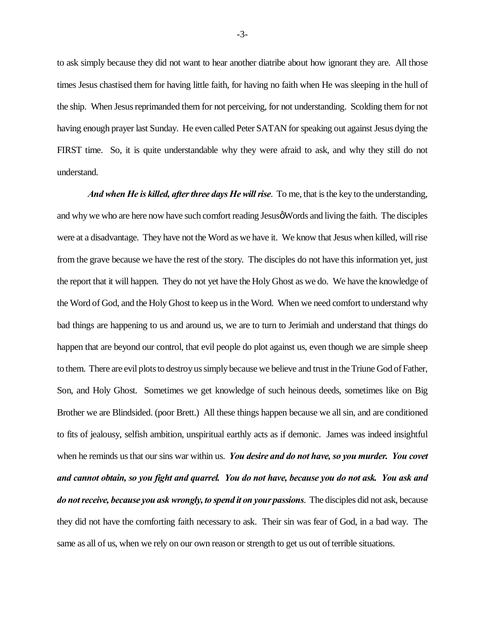to ask simply because they did not want to hear another diatribe about how ignorant they are. All those times Jesus chastised them for having little faith, for having no faith when He was sleeping in the hull of the ship. When Jesus reprimanded them for not perceiving, for not understanding. Scolding them for not having enough prayer last Sunday. He even called Peter SATAN for speaking out against Jesus dying the FIRST time. So, it is quite understandable why they were afraid to ask, and why they still do not understand.

*And when He is killed, after three days He will rise*. To me, that is the key to the understanding, and why we who are here now have such comfort reading Jesus Words and living the faith. The disciples were at a disadvantage. They have not the Word as we have it. We know that Jesus when killed, will rise from the grave because we have the rest of the story. The disciples do not have this information yet, just the report that it will happen. They do not yet have the Holy Ghost as we do. We have the knowledge of the Word of God, and the Holy Ghost to keep us in the Word. When we need comfort to understand why bad things are happening to us and around us, we are to turn to Jerimiah and understand that things do happen that are beyond our control, that evil people do plot against us, even though we are simple sheep to them. There are evil plots to destroy us simply because we believe and trust in the Triune God of Father, Son, and Holy Ghost. Sometimes we get knowledge of such heinous deeds, sometimes like on Big Brother we are Blindsided. (poor Brett.) All these things happen because we all sin, and are conditioned to fits of jealousy, selfish ambition, unspiritual earthly acts as if demonic. James was indeed insightful when he reminds us that our sins war within us. *You desire and do not have, so you murder. You covet and cannot obtain, so you fight and quarrel. You do not have, because you do not ask. You ask and do not receive, because you ask wrongly, to spend it on your passions*. The disciples did not ask, because they did not have the comforting faith necessary to ask. Their sin was fear of God, in a bad way. The same as all of us, when we rely on our own reason or strength to get us out of terrible situations.